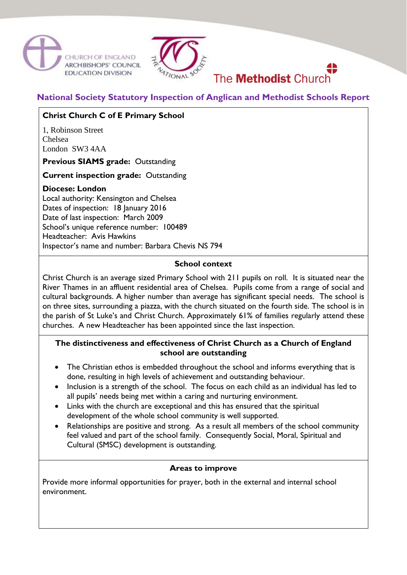



# **National Society Statutory Inspection of Anglican and Methodist Schools Report**

The **Methodist** Church

# **Christ Church C of E Primary School**

1, Robinson Street Chelsea London SW3 4AA

**Previous SIAMS grade:** Outstanding

**Current inspection grade:** Outstanding

### **Diocese: London**

Local authority: Kensington and Chelsea Dates of inspection: 18 January 2016 Date of last inspection: March 2009 School's unique reference number: 100489 Headteacher: Avis Hawkins Inspector's name and number: Barbara Chevis NS 794

#### **School context**

Christ Church is an average sized Primary School with 211 pupils on roll. It is situated near the River Thames in an affluent residential area of Chelsea. Pupils come from a range of social and cultural backgrounds. A higher number than average has significant special needs. The school is on three sites, surrounding a piazza, with the church situated on the fourth side. The school is in the parish of St Luke's and Christ Church. Approximately 61% of families regularly attend these churches. A new Headteacher has been appointed since the last inspection.

## **The distinctiveness and effectiveness of Christ Church as a Church of England school are outstanding**

- The Christian ethos is embedded throughout the school and informs everything that is done, resulting in high levels of achievement and outstanding behaviour.
- Inclusion is a strength of the school. The focus on each child as an individual has led to all pupils' needs being met within a caring and nurturing environment.
- Links with the church are exceptional and this has ensured that the spiritual development of the whole school community is well supported.
- Relationships are positive and strong. As a result all members of the school community feel valued and part of the school family. Consequently Social, Moral, Spiritual and Cultural (SMSC) development is outstanding.

#### **Areas to improve**

Provide more informal opportunities for prayer, both in the external and internal school environment.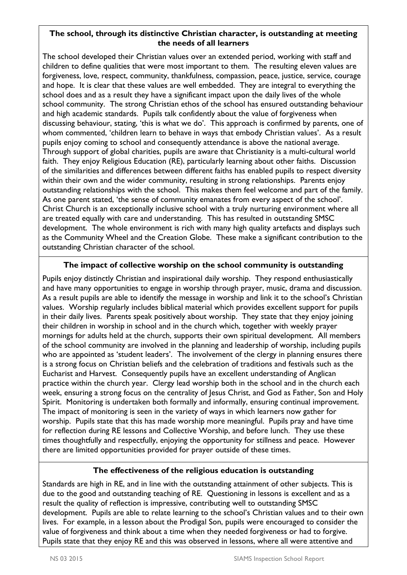## **The school, through its distinctive Christian character, is outstanding at meeting the needs of all learners**

The school developed their Christian values over an extended period, working with staff and children to define qualities that were most important to them. The resulting eleven values are forgiveness, love, respect, community, thankfulness, compassion, peace, justice, service, courage and hope. It is clear that these values are well embedded. They are integral to everything the school does and as a result they have a significant impact upon the daily lives of the whole school community. The strong Christian ethos of the school has ensured outstanding behaviour and high academic standards. Pupils talk confidently about the value of forgiveness when discussing behaviour, stating, 'this is what we do'. This approach is confirmed by parents, one of whom commented, 'children learn to behave in ways that embody Christian values'. As a result pupils enjoy coming to school and consequently attendance is above the national average. Through support of global charities, pupils are aware that Christianity is a multi-cultural world faith. They enjoy Religious Education (RE), particularly learning about other faiths. Discussion of the similarities and differences between different faiths has enabled pupils to respect diversity within their own and the wider community, resulting in strong relationships. Parents enjoy outstanding relationships with the school. This makes them feel welcome and part of the family. As one parent stated, 'the sense of community emanates from every aspect of the school'. Christ Church is an exceptionally inclusive school with a truly nurturing environment where all are treated equally with care and understanding. This has resulted in outstanding SMSC development. The whole environment is rich with many high quality artefacts and displays such as the Community Wheel and the Creation Globe. These make a significant contribution to the outstanding Christian character of the school.

# **The impact of collective worship on the school community is outstanding**

Pupils enjoy distinctly Christian and inspirational daily worship. They respond enthusiastically and have many opportunities to engage in worship through prayer, music, drama and discussion. As a result pupils are able to identify the message in worship and link it to the school's Christian values. Worship regularly includes biblical material which provides excellent support for pupils in their daily lives. Parents speak positively about worship. They state that they enjoy joining their children in worship in school and in the church which, together with weekly prayer mornings for adults held at the church, supports their own spiritual development. All members of the school community are involved in the planning and leadership of worship, including pupils who are appointed as 'student leaders'. The involvement of the clergy in planning ensures there is a strong focus on Christian beliefs and the celebration of traditions and festivals such as the Eucharist and Harvest. Consequently pupils have an excellent understanding of Anglican practice within the church year. Clergy lead worship both in the school and in the church each week, ensuring a strong focus on the centrality of Jesus Christ, and God as Father, Son and Holy Spirit. Monitoring is undertaken both formally and informally, ensuring continual improvement. The impact of monitoring is seen in the variety of ways in which learners now gather for worship. Pupils state that this has made worship more meaningful. Pupils pray and have time for reflection during RE lessons and Collective Worship, and before lunch. They use these times thoughtfully and respectfully, enjoying the opportunity for stillness and peace. However there are limited opportunities provided for prayer outside of these times.

# **The effectiveness of the religious education is outstanding**

Standards are high in RE, and in line with the outstanding attainment of other subjects. This is due to the good and outstanding teaching of RE. Questioning in lessons is excellent and as a result the quality of reflection is impressive, contributing well to outstanding SMSC development. Pupils are able to relate learning to the school's Christian values and to their own lives. For example, in a lesson about the Prodigal Son, pupils were encouraged to consider the value of forgiveness and think about a time when they needed forgiveness or had to forgive. Pupils state that they enjoy RE and this was observed in lessons, where all were attentive and